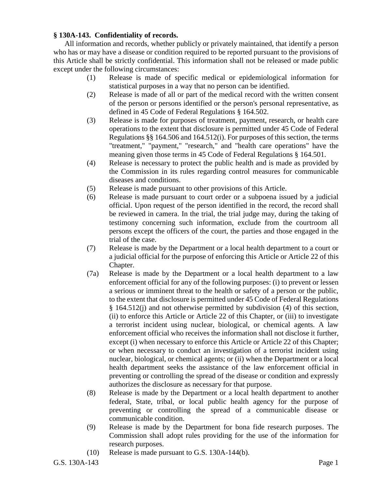## **§ 130A-143. Confidentiality of records.**

All information and records, whether publicly or privately maintained, that identify a person who has or may have a disease or condition required to be reported pursuant to the provisions of this Article shall be strictly confidential. This information shall not be released or made public except under the following circumstances:

- (1) Release is made of specific medical or epidemiological information for statistical purposes in a way that no person can be identified.
- (2) Release is made of all or part of the medical record with the written consent of the person or persons identified or the person's personal representative, as defined in 45 Code of Federal Regulations § 164.502.
- (3) Release is made for purposes of treatment, payment, research, or health care operations to the extent that disclosure is permitted under 45 Code of Federal Regulations §§ 164.506 and 164.512(i). For purposes of this section, the terms "treatment," "payment," "research," and "health care operations" have the meaning given those terms in 45 Code of Federal Regulations § 164.501.
- (4) Release is necessary to protect the public health and is made as provided by the Commission in its rules regarding control measures for communicable diseases and conditions.
- (5) Release is made pursuant to other provisions of this Article.
- (6) Release is made pursuant to court order or a subpoena issued by a judicial official. Upon request of the person identified in the record, the record shall be reviewed in camera. In the trial, the trial judge may, during the taking of testimony concerning such information, exclude from the courtroom all persons except the officers of the court, the parties and those engaged in the trial of the case.
- (7) Release is made by the Department or a local health department to a court or a judicial official for the purpose of enforcing this Article or Article 22 of this Chapter.
- (7a) Release is made by the Department or a local health department to a law enforcement official for any of the following purposes: (i) to prevent or lessen a serious or imminent threat to the health or safety of a person or the public, to the extent that disclosure is permitted under 45 Code of Federal Regulations § 164.512(j) and not otherwise permitted by subdivision (4) of this section, (ii) to enforce this Article or Article 22 of this Chapter, or (iii) to investigate a terrorist incident using nuclear, biological, or chemical agents. A law enforcement official who receives the information shall not disclose it further, except (i) when necessary to enforce this Article or Article 22 of this Chapter; or when necessary to conduct an investigation of a terrorist incident using nuclear, biological, or chemical agents; or (ii) when the Department or a local health department seeks the assistance of the law enforcement official in preventing or controlling the spread of the disease or condition and expressly authorizes the disclosure as necessary for that purpose.
- (8) Release is made by the Department or a local health department to another federal, State, tribal, or local public health agency for the purpose of preventing or controlling the spread of a communicable disease or communicable condition.
- (9) Release is made by the Department for bona fide research purposes. The Commission shall adopt rules providing for the use of the information for research purposes.
- (10) Release is made pursuant to G.S. 130A-144(b).